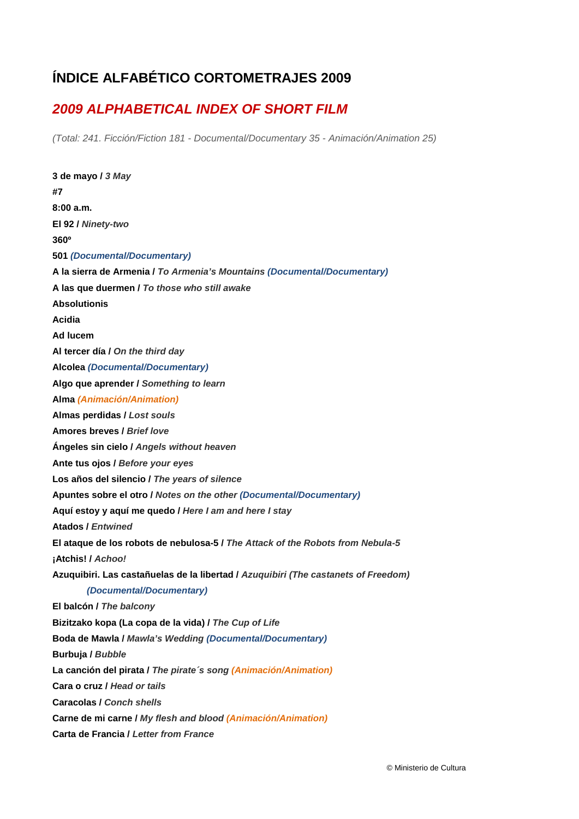## **ÍNDICE ALFABÉTICO CORTOMETRAJES 2009**

## *2009 ALPHABETICAL INDEX OF SHORT FILM*

*(Total: 241. Ficción/Fiction 181 - Documental/Documentary 35 - Animación/Animation 25)* 

**3 de mayo /** *3 May*  **#7 8:00 a.m. El 92 /** *Ninety-two*  **360º 501** *(Documental/Documentary)*  **A la sierra de Armenia /** *To Armenia's Mountains (Documental/Documentary)*  **A las que duermen /** *To those who still awake*  **Absolutionis Acidia Ad lucem Al tercer día /** *On the third day*  **Alcolea** *(Documental/Documentary)*  **Algo que aprender /** *Something to learn*  **Alma** *(Animación/Animation)*  **Almas perdidas /** *Lost souls*  **Amores breves /** *Brief love*  **Ángeles sin cielo /** *Angels without heaven*  **Ante tus ojos /** *Before your eyes*  **Los años del silencio /** *The years of silence*  **Apuntes sobre el otro /** *Notes on the other (Documental/Documentary)*  **Aquí estoy y aquí me quedo /** *Here I am and here I stay*  **Atados /** *Entwined*  **El ataque de los robots de nebulosa-5 /** *The Attack of the Robots from Nebula-5*  **¡Atchis! /** *Achoo!* **Azuquibiri. Las castañuelas de la libertad /** *Azuquibiri (The castanets of Freedom) (Documental/Documentary)* **El balcón /** *The balcony*  **Bizitzako kopa (La copa de la vida) /** *The Cup of Life* **Boda de Mawla /** *Mawla's Wedding (Documental/Documentary)*  **Burbuja /** *Bubble*  **La canción del pirata /** *The pirate´s song (Animación/Animation)*  **Cara o cruz /** *Head or tails*  **Caracolas /** *Conch shells*  **Carne de mi carne /** *My flesh and blood (Animación/Animation)*  **Carta de Francia /** *Letter from France*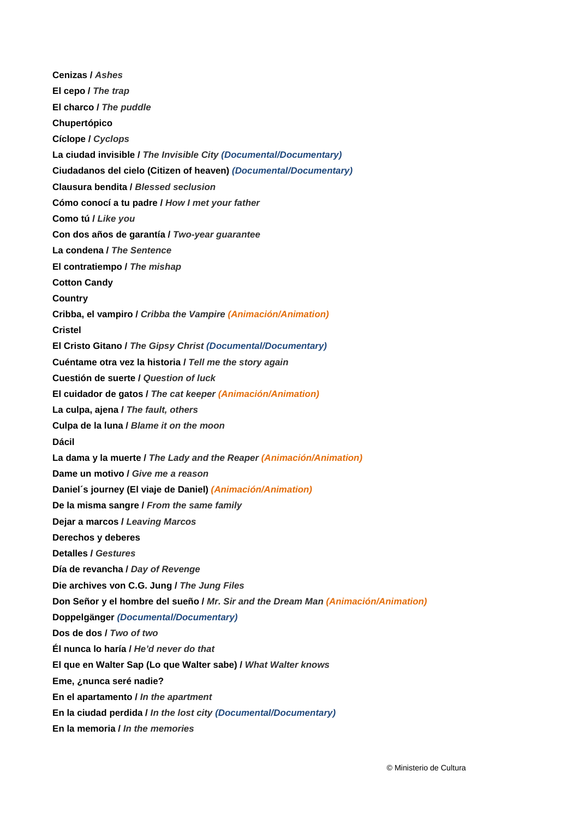**Cenizas /** *Ashes*  **El cepo /** *The trap*  **El charco /** *The puddle*  **Chupertópico Cíclope /** *Cyclops*  **La ciudad invisible /** *The Invisible City (Documental/Documentary)*  **Ciudadanos del cielo (Citizen of heaven)** *(Documental/Documentary)*  **Clausura bendita /** *Blessed seclusion*  **Cómo conocí a tu padre /** *How I met your father*  **Como tú /** *Like you*  **Con dos años de garantía /** *Two-year guarantee*  **La condena /** *The Sentence*  **El contratiempo /** *The mishap*  **Cotton Candy Country Cribba, el vampiro /** *Cribba the Vampire (Animación/Animation)*  **Cristel El Cristo Gitano /** *The Gipsy Christ (Documental/Documentary)*  **Cuéntame otra vez la historia /** *Tell me the story again* **Cuestión de suerte /** *Question of luck* **El cuidador de gatos /** *The cat keeper (Animación/Animation)*  **La culpa, ajena /** *The fault, others*  **Culpa de la luna /** *Blame it on the moon*  **Dácil La dama y la muerte /** *The Lady and the Reaper (Animación/Animation)*  **Dame un motivo /** *Give me a reason*  **Daniel´s journey (El viaje de Daniel)** *(Animación/Animation)*  **De la misma sangre /** *From the same family*  **Dejar a marcos /** *Leaving Marcos*  **Derechos y deberes Detalles /** *Gestures*  **Día de revancha /** *Day of Revenge*  **Die archives von C.G. Jung /** *The Jung Files*  **Don Señor y el hombre del sueño /** *Mr. Sir and the Dream Man (Animación/Animation)*  **Doppelgänger** *(Documental/Documentary)*  **Dos de dos /** *Two of two*  **Él nunca lo haría /** *He'd never do that*  **El que en Walter Sap (Lo que Walter sabe) /** *What Walter knows*  **Eme, ¿nunca seré nadie? En el apartamento /** *In the apartment*  **En la ciudad perdida /** *In the lost city (Documental/Documentary)*  **En la memoria /** *In the memories*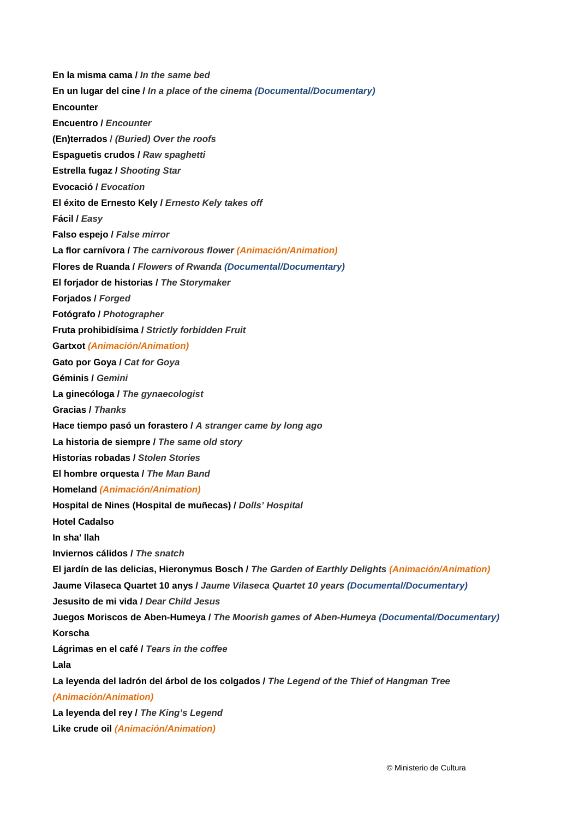**En la misma cama /** *In the same bed*  **En un lugar del cine /** *In a place of the cinema (Documental/Documentary)*  **Encounter Encuentro /** *Encounter*  **(En)terrados /** *(Buried) Over the roofs*  **Espaguetis crudos /** *Raw spaghetti*  **Estrella fugaz /** *Shooting Star* **Evocació /** *Evocation* **El éxito de Ernesto Kely /** *Ernesto Kely takes off*  **Fácil /** *Easy*  **Falso espejo /** *False mirror*  **La flor carnívora /** *The carnivorous flower (Animación/Animation)*  **Flores de Ruanda /** *Flowers of Rwanda (Documental/Documentary)*  **El forjador de historias /** *The Storymaker*  **Forjados /** *Forged*  **Fotógrafo /** *Photographer*  **Fruta prohibidísima /** *Strictly forbidden Fruit*  **Gartxot** *(Animación/Animation)*  **Gato por Goya /** *Cat for Goya*  **Géminis /** *Gemini*  **La ginecóloga /** *The gynaecologist*  **Gracias /** *Thanks*  **Hace tiempo pasó un forastero /** *A stranger came by long ago*  **La historia de siempre /** *The same old story*  **Historias robadas /** *Stolen Stories*  **El hombre orquesta /** *The Man Band*  **Homeland** *(Animación/Animation)*  **Hospital de Nines (Hospital de muñecas) /** *Dolls' Hospital*  **Hotel Cadalso In sha' llah Inviernos cálidos /** *The snatch*  **El jardín de las delicias, Hieronymus Bosch /** *The Garden of Earthly Delights (Animación/Animation)*  **Jaume Vilaseca Quartet 10 anys /** *Jaume Vilaseca Quartet 10 years (Documental/Documentary)*  **Jesusito de mi vida /** *Dear Child Jesus*  **Juegos Moriscos de Aben-Humeya /** *The Moorish games of Aben-Humeya (Documental/Documentary)* **Korscha Lágrimas en el café /** *Tears in the coffee*  **Lala La leyenda del ladrón del árbol de los colgados /** *The Legend of the Thief of Hangman Tree (Animación/Animation)*  **La leyenda del rey /** *The King's Legend*  **Like crude oil** *(Animación/Animation)*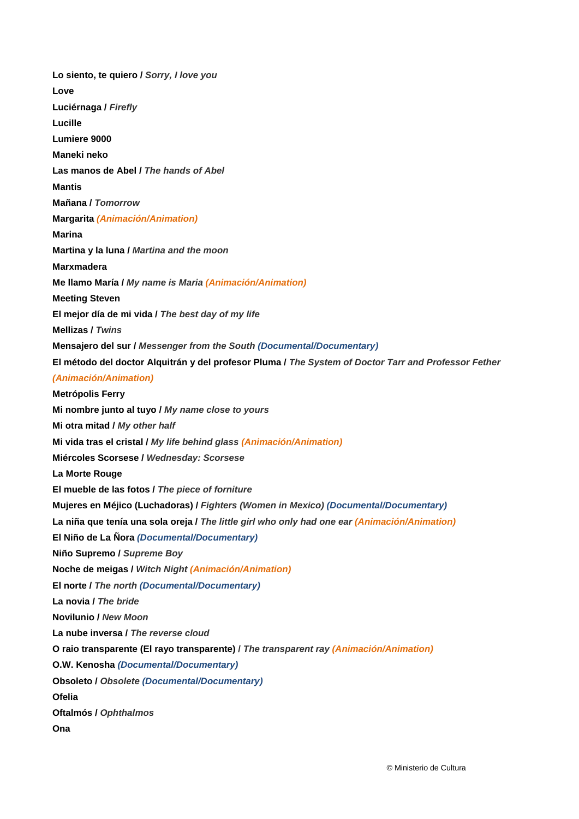**Lo siento, te quiero /** *Sorry, I love you*  **Love Luciérnaga /** *Firefly*  **Lucille Lumiere 9000 Maneki neko Las manos de Abel /** *The hands of Abel*  **Mantis Mañana /** *Tomorrow*  **Margarita** *(Animación/Animation)*  **Marina Martina y la luna /** *Martina and the moon*  **Marxmadera Me llamo María /** *My name is Maria (Animación/Animation)*  **Meeting Steven El mejor día de mi vida /** *The best day of my life*  **Mellizas /** *Twins*  **Mensajero del sur /** *Messenger from the South (Documental/Documentary)*  **El método del doctor Alquitrán y del profesor Pluma /** *The System of Doctor Tarr and Professor Fether (Animación/Animation)*  **Metrópolis Ferry Mi nombre junto al tuyo /** *My name close to yours*  **Mi otra mitad /** *My other half* **Mi vida tras el cristal /** *My life behind glass (Animación/Animation)* **Miércoles Scorsese /** *Wednesday: Scorsese*  **La Morte Rouge El mueble de las fotos /** *The piece of forniture*  **Mujeres en Méjico (Luchadoras) /** *Fighters (Women in Mexico) (Documental/Documentary)*  **La niña que tenía una sola oreja /** *The little girl who only had one ear (Animación/Animation)*  **El Niño de La Ñora** *(Documental/Documentary)*  **Niño Supremo /** *Supreme Boy*  **Noche de meigas /** *Witch Night (Animación/Animation)*  **El norte /** *The north (Documental/Documentary)*  **La novia /** *The bride*  **Novilunio /** *New Moon*  **La nube inversa /** *The reverse cloud*  **O raio transparente (El rayo transparente) /** *The transparent ray (Animación/Animation)*  **O.W. Kenosha** *(Documental/Documentary)*  **Obsoleto /** *Obsolete (Documental/Documentary)*  **Ofelia Oftalmós /** *Ophthalmos*  **Ona**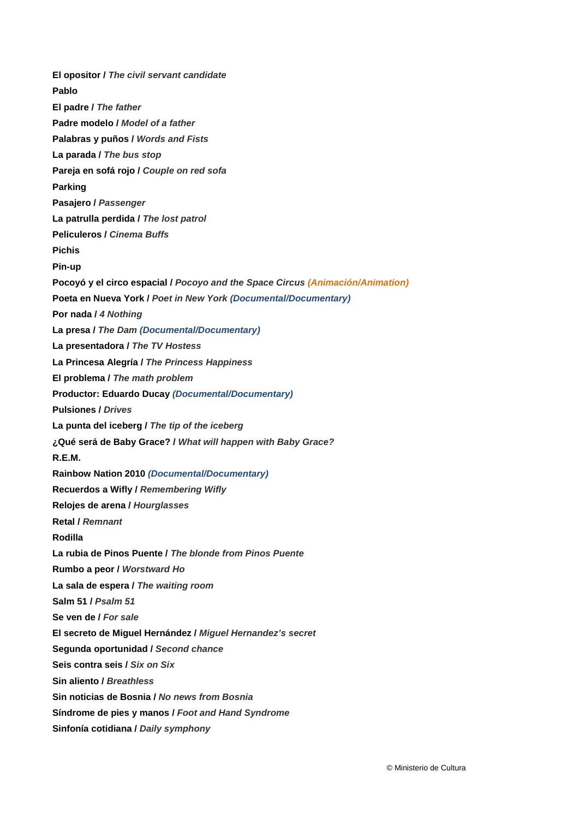**El opositor /** *The civil servant candidate*  **Pablo El padre /** *The father*  **Padre modelo /** *Model of a father*  **Palabras y puños /** *Words and Fists*  **La parada /** *The bus stop*  **Pareja en sofá rojo /** *Couple on red sofa*  **Parking Pasajero /** *Passenger*  **La patrulla perdida /** *The lost patrol*  **Peliculeros /** *Cinema Buffs* **Pichis Pin-up Pocoyó y el circo espacial /** *Pocoyo and the Space Circus (Animación/Animation)*  **Poeta en Nueva York /** *Poet in New York (Documental/Documentary)*  **Por nada /** *4 Nothing*  **La presa /** *The Dam (Documental/Documentary)*  **La presentadora /** *The TV Hostess*  **La Princesa Alegría /** *The Princess Happiness*  **El problema /** *The math problem*  **Productor: Eduardo Ducay** *(Documental/Documentary)*  **Pulsiones /** *Drives*  **La punta del iceberg /** *The tip of the iceberg*  **¿Qué será de Baby Grace? /** *What will happen with Baby Grace?*  **R.E.M. Rainbow Nation 2010** *(Documental/Documentary)*  **Recuerdos a Wifly /** *Remembering Wifly*  **Relojes de arena /** *Hourglasses*  **Retal /** *Remnant*  **Rodilla La rubia de Pinos Puente /** *The blonde from Pinos Puente*  **Rumbo a peor /** *Worstward Ho*  **La sala de espera /** *The waiting room*  **Salm 51 /** *Psalm 51*  **Se ven de /** *For sale*  **El secreto de Miguel Hernández /** *Miguel Hernandez's secret*  **Segunda oportunidad /** *Second chance*  **Seis contra seis /** *Six on Six*  **Sin aliento /** *Breathless*  **Sin noticias de Bosnia /** *No news from Bosnia* **Síndrome de pies y manos /** *Foot and Hand Syndrome* **Sinfonía cotidiana /** *Daily symphony*